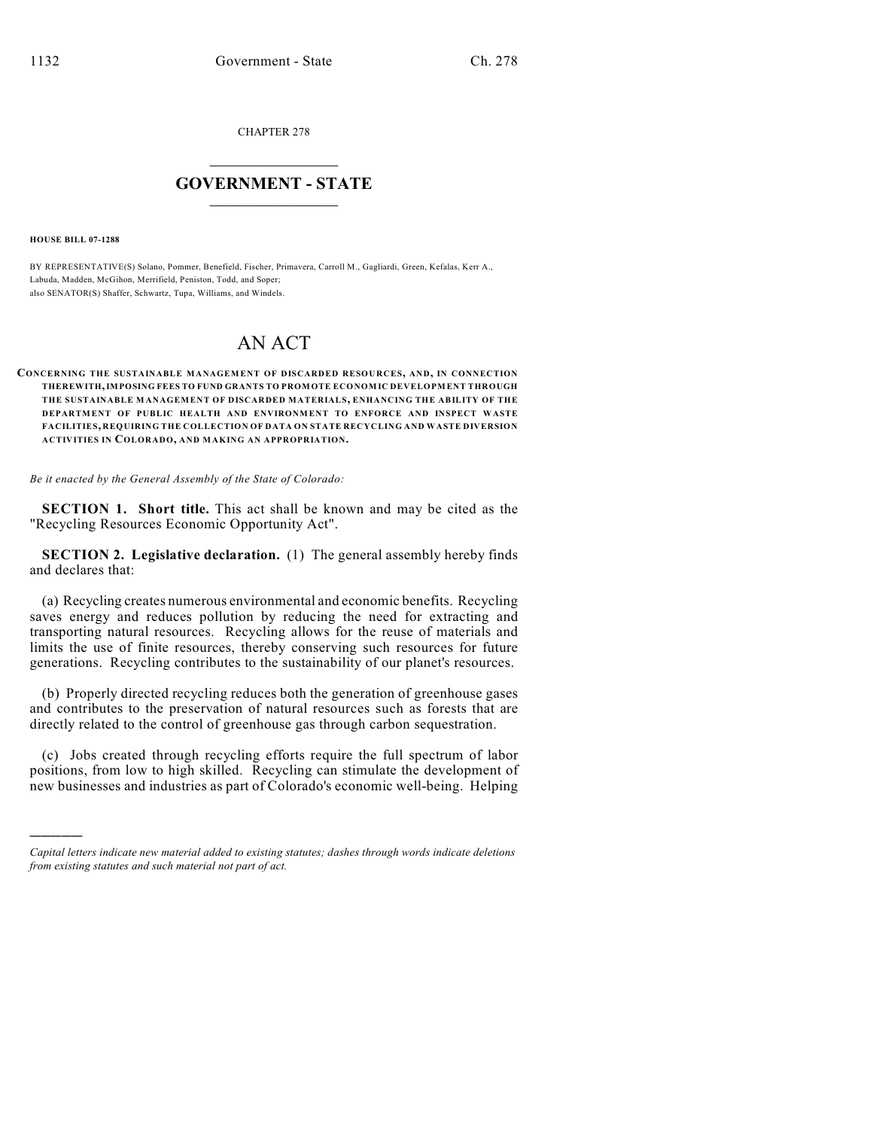CHAPTER 278

## $\mathcal{L}_\text{max}$  . The set of the set of the set of the set of the set of the set of the set of the set of the set of the set of the set of the set of the set of the set of the set of the set of the set of the set of the set **GOVERNMENT - STATE**  $\_$   $\_$   $\_$   $\_$   $\_$   $\_$   $\_$   $\_$

**HOUSE BILL 07-1288**

)))))

BY REPRESENTATIVE(S) Solano, Pommer, Benefield, Fischer, Primavera, Carroll M., Gagliardi, Green, Kefalas, Kerr A., Labuda, Madden, McGihon, Merrifield, Peniston, Todd, and Soper; also SENATOR(S) Shaffer, Schwartz, Tupa, Williams, and Windels.

## AN ACT

## **CONCERNING THE SUSTAINABLE MANAGEMENT OF DISCARDED RESOURCES, AND, IN CONNECTION THEREWITH, IMPOSING FEES TO FUND GRANTS TO PROMOTE ECONOMIC DEVELOPMENT THROUGH THE SUSTAINABLE M ANAGEMENT OF DISCARDED MATERIALS, ENHANCING THE ABILITY OF THE DEPARTMENT OF PUBLIC HEALTH AND ENVIRONMENT TO ENFORCE AND INSPECT WASTE FACILITIES, REQUIRING THE COLLECTION OF DATA ON STATE RECYCLING AND WASTE DIVERSION ACTIVITIES IN COLORADO, AND MAKING AN APPROPRIATION.**

*Be it enacted by the General Assembly of the State of Colorado:*

**SECTION 1. Short title.** This act shall be known and may be cited as the "Recycling Resources Economic Opportunity Act".

**SECTION 2. Legislative declaration.** (1) The general assembly hereby finds and declares that:

(a) Recycling creates numerous environmental and economic benefits. Recycling saves energy and reduces pollution by reducing the need for extracting and transporting natural resources. Recycling allows for the reuse of materials and limits the use of finite resources, thereby conserving such resources for future generations. Recycling contributes to the sustainability of our planet's resources.

(b) Properly directed recycling reduces both the generation of greenhouse gases and contributes to the preservation of natural resources such as forests that are directly related to the control of greenhouse gas through carbon sequestration.

(c) Jobs created through recycling efforts require the full spectrum of labor positions, from low to high skilled. Recycling can stimulate the development of new businesses and industries as part of Colorado's economic well-being. Helping

*Capital letters indicate new material added to existing statutes; dashes through words indicate deletions from existing statutes and such material not part of act.*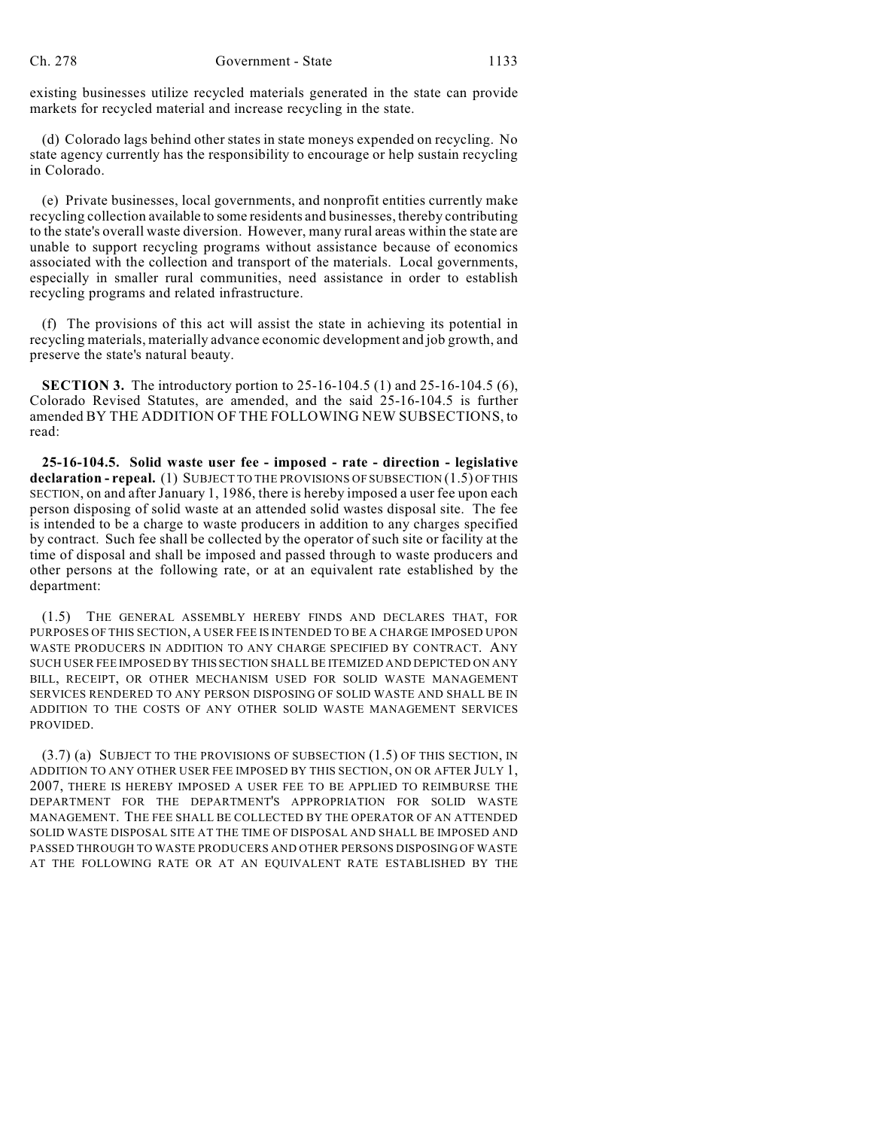existing businesses utilize recycled materials generated in the state can provide markets for recycled material and increase recycling in the state.

(d) Colorado lags behind other states in state moneys expended on recycling. No state agency currently has the responsibility to encourage or help sustain recycling in Colorado.

(e) Private businesses, local governments, and nonprofit entities currently make recycling collection available to some residents and businesses, thereby contributing to the state's overall waste diversion. However, many rural areas within the state are unable to support recycling programs without assistance because of economics associated with the collection and transport of the materials. Local governments, especially in smaller rural communities, need assistance in order to establish recycling programs and related infrastructure.

(f) The provisions of this act will assist the state in achieving its potential in recycling materials, materially advance economic development and job growth, and preserve the state's natural beauty.

**SECTION 3.** The introductory portion to 25-16-104.5 (1) and 25-16-104.5 (6), Colorado Revised Statutes, are amended, and the said 25-16-104.5 is further amended BY THE ADDITION OF THE FOLLOWING NEW SUBSECTIONS, to read:

**25-16-104.5. Solid waste user fee - imposed - rate - direction - legislative declaration - repeal.** (1) SUBJECT TO THE PROVISIONS OF SUBSECTION (1.5) OF THIS SECTION, on and after January 1, 1986, there is hereby imposed a user fee upon each person disposing of solid waste at an attended solid wastes disposal site. The fee is intended to be a charge to waste producers in addition to any charges specified by contract. Such fee shall be collected by the operator of such site or facility at the time of disposal and shall be imposed and passed through to waste producers and other persons at the following rate, or at an equivalent rate established by the department:

(1.5) THE GENERAL ASSEMBLY HEREBY FINDS AND DECLARES THAT, FOR PURPOSES OF THIS SECTION, A USER FEE IS INTENDED TO BE A CHARGE IMPOSED UPON WASTE PRODUCERS IN ADDITION TO ANY CHARGE SPECIFIED BY CONTRACT. ANY SUCH USER FEE IMPOSED BY THIS SECTION SHALL BE ITEMIZED AND DEPICTED ON ANY BILL, RECEIPT, OR OTHER MECHANISM USED FOR SOLID WASTE MANAGEMENT SERVICES RENDERED TO ANY PERSON DISPOSING OF SOLID WASTE AND SHALL BE IN ADDITION TO THE COSTS OF ANY OTHER SOLID WASTE MANAGEMENT SERVICES PROVIDED.

 $(3.7)$  (a) SUBJECT TO THE PROVISIONS OF SUBSECTION  $(1.5)$  OF THIS SECTION, IN ADDITION TO ANY OTHER USER FEE IMPOSED BY THIS SECTION, ON OR AFTER JULY 1, 2007, THERE IS HEREBY IMPOSED A USER FEE TO BE APPLIED TO REIMBURSE THE DEPARTMENT FOR THE DEPARTMENT'S APPROPRIATION FOR SOLID WASTE MANAGEMENT. THE FEE SHALL BE COLLECTED BY THE OPERATOR OF AN ATTENDED SOLID WASTE DISPOSAL SITE AT THE TIME OF DISPOSAL AND SHALL BE IMPOSED AND PASSED THROUGH TO WASTE PRODUCERS AND OTHER PERSONS DISPOSING OF WASTE AT THE FOLLOWING RATE OR AT AN EQUIVALENT RATE ESTABLISHED BY THE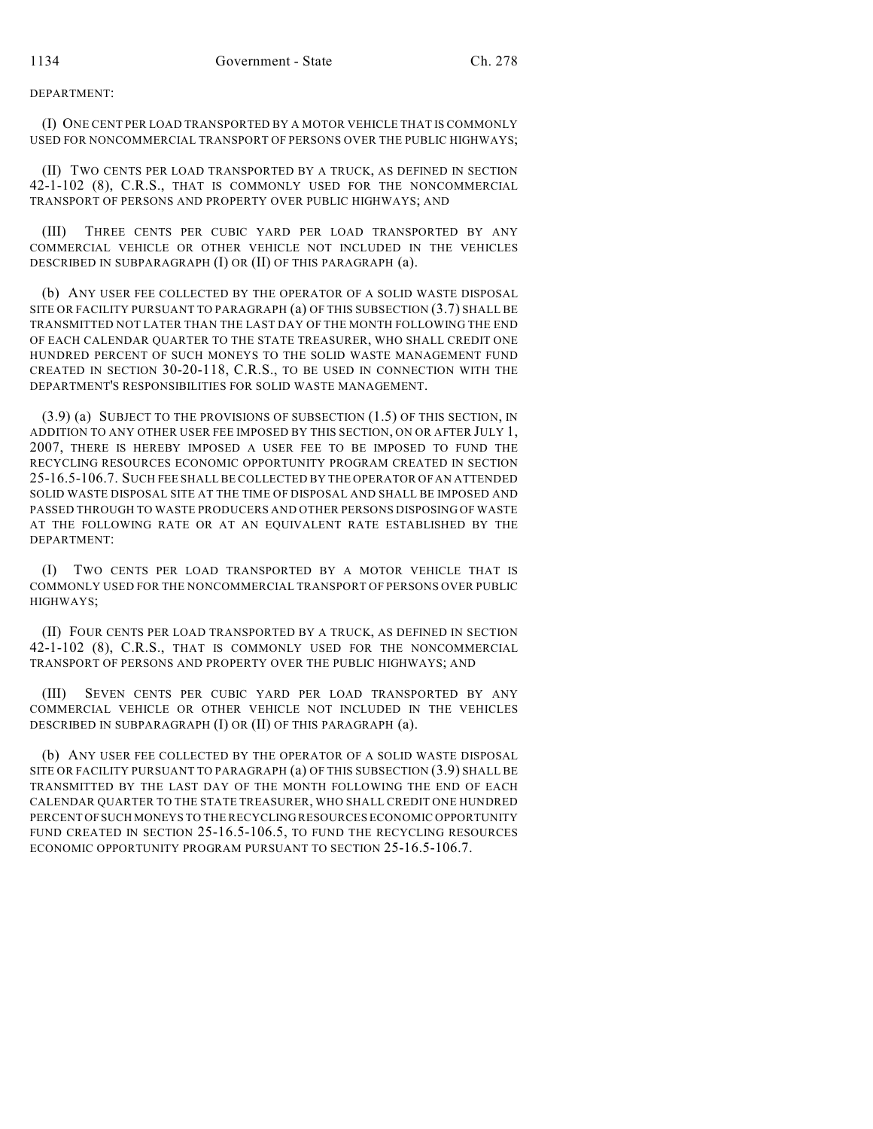DEPARTMENT:

(I) ONE CENT PER LOAD TRANSPORTED BY A MOTOR VEHICLE THAT IS COMMONLY USED FOR NONCOMMERCIAL TRANSPORT OF PERSONS OVER THE PUBLIC HIGHWAYS;

(II) TWO CENTS PER LOAD TRANSPORTED BY A TRUCK, AS DEFINED IN SECTION 42-1-102 (8), C.R.S., THAT IS COMMONLY USED FOR THE NONCOMMERCIAL TRANSPORT OF PERSONS AND PROPERTY OVER PUBLIC HIGHWAYS; AND

(III) THREE CENTS PER CUBIC YARD PER LOAD TRANSPORTED BY ANY COMMERCIAL VEHICLE OR OTHER VEHICLE NOT INCLUDED IN THE VEHICLES DESCRIBED IN SUBPARAGRAPH (I) OR (II) OF THIS PARAGRAPH (a).

(b) ANY USER FEE COLLECTED BY THE OPERATOR OF A SOLID WASTE DISPOSAL SITE OR FACILITY PURSUANT TO PARAGRAPH (a) OF THIS SUBSECTION (3.7) SHALL BE TRANSMITTED NOT LATER THAN THE LAST DAY OF THE MONTH FOLLOWING THE END OF EACH CALENDAR QUARTER TO THE STATE TREASURER, WHO SHALL CREDIT ONE HUNDRED PERCENT OF SUCH MONEYS TO THE SOLID WASTE MANAGEMENT FUND CREATED IN SECTION 30-20-118, C.R.S., TO BE USED IN CONNECTION WITH THE DEPARTMENT'S RESPONSIBILITIES FOR SOLID WASTE MANAGEMENT.

 $(3.9)$  (a) SUBJECT TO THE PROVISIONS OF SUBSECTION  $(1.5)$  OF THIS SECTION, IN ADDITION TO ANY OTHER USER FEE IMPOSED BY THIS SECTION, ON OR AFTER JULY 1, 2007, THERE IS HEREBY IMPOSED A USER FEE TO BE IMPOSED TO FUND THE RECYCLING RESOURCES ECONOMIC OPPORTUNITY PROGRAM CREATED IN SECTION 25-16.5-106.7. SUCH FEE SHALL BE COLLECTED BY THE OPERATOR OF AN ATTENDED SOLID WASTE DISPOSAL SITE AT THE TIME OF DISPOSAL AND SHALL BE IMPOSED AND PASSED THROUGH TO WASTE PRODUCERS AND OTHER PERSONS DISPOSING OF WASTE AT THE FOLLOWING RATE OR AT AN EQUIVALENT RATE ESTABLISHED BY THE DEPARTMENT:

(I) TWO CENTS PER LOAD TRANSPORTED BY A MOTOR VEHICLE THAT IS COMMONLY USED FOR THE NONCOMMERCIAL TRANSPORT OF PERSONS OVER PUBLIC HIGHWAYS;

(II) FOUR CENTS PER LOAD TRANSPORTED BY A TRUCK, AS DEFINED IN SECTION 42-1-102 (8), C.R.S., THAT IS COMMONLY USED FOR THE NONCOMMERCIAL TRANSPORT OF PERSONS AND PROPERTY OVER THE PUBLIC HIGHWAYS; AND

(III) SEVEN CENTS PER CUBIC YARD PER LOAD TRANSPORTED BY ANY COMMERCIAL VEHICLE OR OTHER VEHICLE NOT INCLUDED IN THE VEHICLES DESCRIBED IN SUBPARAGRAPH (I) OR (II) OF THIS PARAGRAPH (a).

(b) ANY USER FEE COLLECTED BY THE OPERATOR OF A SOLID WASTE DISPOSAL SITE OR FACILITY PURSUANT TO PARAGRAPH (a) OF THIS SUBSECTION (3.9) SHALL BE TRANSMITTED BY THE LAST DAY OF THE MONTH FOLLOWING THE END OF EACH CALENDAR QUARTER TO THE STATE TREASURER, WHO SHALL CREDIT ONE HUNDRED PERCENT OF SUCH MONEYS TO THE RECYCLING RESOURCES ECONOMIC OPPORTUNITY FUND CREATED IN SECTION 25-16.5-106.5, TO FUND THE RECYCLING RESOURCES ECONOMIC OPPORTUNITY PROGRAM PURSUANT TO SECTION 25-16.5-106.7.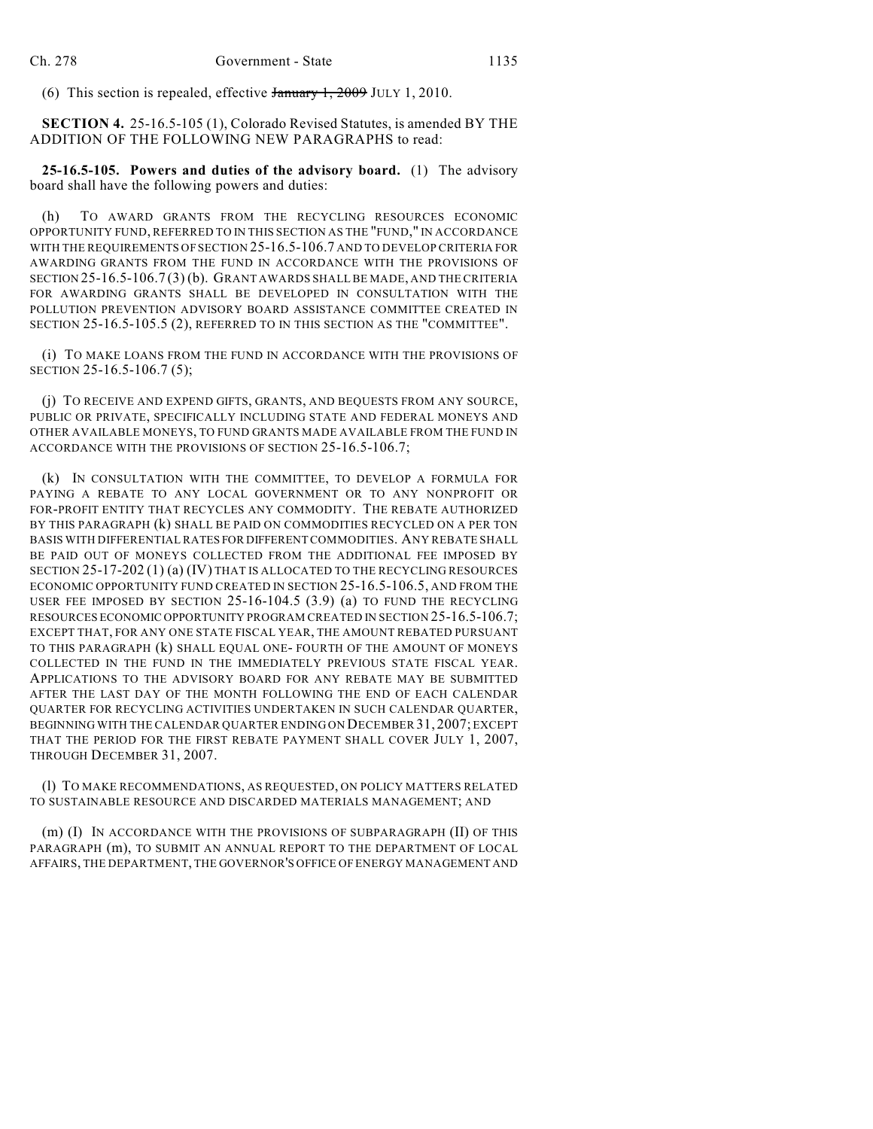(6) This section is repealed, effective January 1, 2009 JULY 1, 2010.

**SECTION 4.** 25-16.5-105 (1), Colorado Revised Statutes, is amended BY THE ADDITION OF THE FOLLOWING NEW PARAGRAPHS to read:

**25-16.5-105. Powers and duties of the advisory board.** (1) The advisory board shall have the following powers and duties:

(h) TO AWARD GRANTS FROM THE RECYCLING RESOURCES ECONOMIC OPPORTUNITY FUND, REFERRED TO IN THIS SECTION AS THE "FUND," IN ACCORDANCE WITH THE REQUIREMENTS OF SECTION 25-16.5-106.7 AND TO DEVELOP CRITERIA FOR AWARDING GRANTS FROM THE FUND IN ACCORDANCE WITH THE PROVISIONS OF SECTION 25-16.5-106.7 (3) (b). GRANT AWARDS SHALL BE MADE, AND THE CRITERIA FOR AWARDING GRANTS SHALL BE DEVELOPED IN CONSULTATION WITH THE POLLUTION PREVENTION ADVISORY BOARD ASSISTANCE COMMITTEE CREATED IN SECTION 25-16.5-105.5 (2), REFERRED TO IN THIS SECTION AS THE "COMMITTEE".

(i) TO MAKE LOANS FROM THE FUND IN ACCORDANCE WITH THE PROVISIONS OF SECTION 25-16.5-106.7 (5);

(j) TO RECEIVE AND EXPEND GIFTS, GRANTS, AND BEQUESTS FROM ANY SOURCE, PUBLIC OR PRIVATE, SPECIFICALLY INCLUDING STATE AND FEDERAL MONEYS AND OTHER AVAILABLE MONEYS, TO FUND GRANTS MADE AVAILABLE FROM THE FUND IN ACCORDANCE WITH THE PROVISIONS OF SECTION 25-16.5-106.7;

(k) IN CONSULTATION WITH THE COMMITTEE, TO DEVELOP A FORMULA FOR PAYING A REBATE TO ANY LOCAL GOVERNMENT OR TO ANY NONPROFIT OR FOR-PROFIT ENTITY THAT RECYCLES ANY COMMODITY. THE REBATE AUTHORIZED BY THIS PARAGRAPH (k) SHALL BE PAID ON COMMODITIES RECYCLED ON A PER TON BASIS WITH DIFFERENTIAL RATES FOR DIFFERENT COMMODITIES. ANY REBATE SHALL BE PAID OUT OF MONEYS COLLECTED FROM THE ADDITIONAL FEE IMPOSED BY SECTION 25-17-202 (1) (a) (IV) THAT IS ALLOCATED TO THE RECYCLING RESOURCES ECONOMIC OPPORTUNITY FUND CREATED IN SECTION 25-16.5-106.5, AND FROM THE USER FEE IMPOSED BY SECTION 25-16-104.5 (3.9) (a) TO FUND THE RECYCLING RESOURCES ECONOMIC OPPORTUNITY PROGRAM CREATED IN SECTION 25-16.5-106.7; EXCEPT THAT, FOR ANY ONE STATE FISCAL YEAR, THE AMOUNT REBATED PURSUANT TO THIS PARAGRAPH (k) SHALL EQUAL ONE- FOURTH OF THE AMOUNT OF MONEYS COLLECTED IN THE FUND IN THE IMMEDIATELY PREVIOUS STATE FISCAL YEAR. APPLICATIONS TO THE ADVISORY BOARD FOR ANY REBATE MAY BE SUBMITTED AFTER THE LAST DAY OF THE MONTH FOLLOWING THE END OF EACH CALENDAR QUARTER FOR RECYCLING ACTIVITIES UNDERTAKEN IN SUCH CALENDAR QUARTER, BEGINNING WITH THE CALENDAR QUARTER ENDING ON DECEMBER 31, 2007; EXCEPT THAT THE PERIOD FOR THE FIRST REBATE PAYMENT SHALL COVER JULY 1, 2007, THROUGH DECEMBER 31, 2007.

(l) TO MAKE RECOMMENDATIONS, AS REQUESTED, ON POLICY MATTERS RELATED TO SUSTAINABLE RESOURCE AND DISCARDED MATERIALS MANAGEMENT; AND

(m) (I) IN ACCORDANCE WITH THE PROVISIONS OF SUBPARAGRAPH (II) OF THIS PARAGRAPH (m), TO SUBMIT AN ANNUAL REPORT TO THE DEPARTMENT OF LOCAL AFFAIRS, THE DEPARTMENT, THE GOVERNOR'S OFFICE OF ENERGY MANAGEMENT AND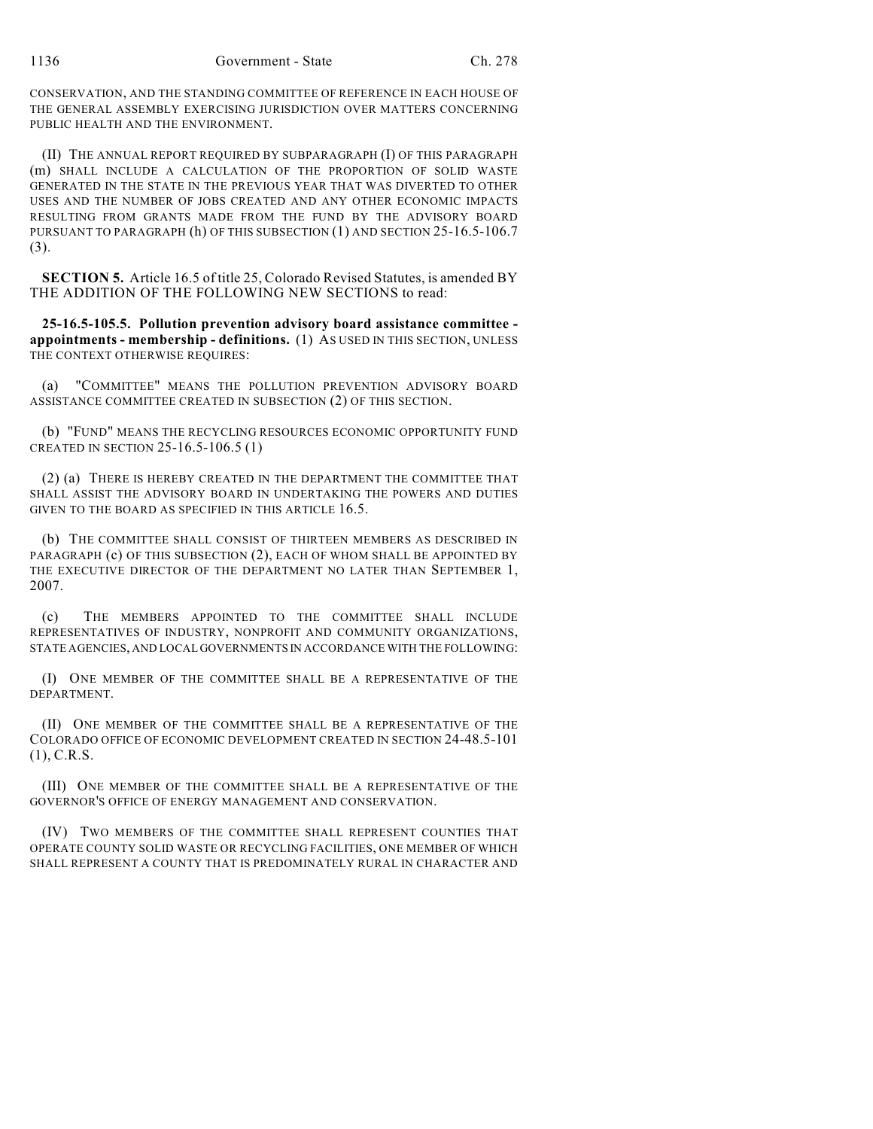CONSERVATION, AND THE STANDING COMMITTEE OF REFERENCE IN EACH HOUSE OF THE GENERAL ASSEMBLY EXERCISING JURISDICTION OVER MATTERS CONCERNING PUBLIC HEALTH AND THE ENVIRONMENT.

(II) THE ANNUAL REPORT REQUIRED BY SUBPARAGRAPH (I) OF THIS PARAGRAPH (m) SHALL INCLUDE A CALCULATION OF THE PROPORTION OF SOLID WASTE GENERATED IN THE STATE IN THE PREVIOUS YEAR THAT WAS DIVERTED TO OTHER USES AND THE NUMBER OF JOBS CREATED AND ANY OTHER ECONOMIC IMPACTS RESULTING FROM GRANTS MADE FROM THE FUND BY THE ADVISORY BOARD PURSUANT TO PARAGRAPH (h) OF THIS SUBSECTION (1) AND SECTION 25-16.5-106.7 (3).

**SECTION 5.** Article 16.5 of title 25, Colorado Revised Statutes, is amended BY THE ADDITION OF THE FOLLOWING NEW SECTIONS to read:

**25-16.5-105.5. Pollution prevention advisory board assistance committee appointments - membership - definitions.** (1) AS USED IN THIS SECTION, UNLESS THE CONTEXT OTHERWISE REQUIRES:

(a) "COMMITTEE" MEANS THE POLLUTION PREVENTION ADVISORY BOARD ASSISTANCE COMMITTEE CREATED IN SUBSECTION (2) OF THIS SECTION.

(b) "FUND" MEANS THE RECYCLING RESOURCES ECONOMIC OPPORTUNITY FUND CREATED IN SECTION 25-16.5-106.5 (1)

(2) (a) THERE IS HEREBY CREATED IN THE DEPARTMENT THE COMMITTEE THAT SHALL ASSIST THE ADVISORY BOARD IN UNDERTAKING THE POWERS AND DUTIES GIVEN TO THE BOARD AS SPECIFIED IN THIS ARTICLE 16.5.

(b) THE COMMITTEE SHALL CONSIST OF THIRTEEN MEMBERS AS DESCRIBED IN PARAGRAPH (c) OF THIS SUBSECTION (2), EACH OF WHOM SHALL BE APPOINTED BY THE EXECUTIVE DIRECTOR OF THE DEPARTMENT NO LATER THAN SEPTEMBER 1, 2007.

(c) THE MEMBERS APPOINTED TO THE COMMITTEE SHALL INCLUDE REPRESENTATIVES OF INDUSTRY, NONPROFIT AND COMMUNITY ORGANIZATIONS, STATE AGENCIES, AND LOCAL GOVERNMENTS IN ACCORDANCE WITH THE FOLLOWING:

(I) ONE MEMBER OF THE COMMITTEE SHALL BE A REPRESENTATIVE OF THE DEPARTMENT.

(II) ONE MEMBER OF THE COMMITTEE SHALL BE A REPRESENTATIVE OF THE COLORADO OFFICE OF ECONOMIC DEVELOPMENT CREATED IN SECTION 24-48.5-101 (1), C.R.S.

(III) ONE MEMBER OF THE COMMITTEE SHALL BE A REPRESENTATIVE OF THE GOVERNOR'S OFFICE OF ENERGY MANAGEMENT AND CONSERVATION.

(IV) TWO MEMBERS OF THE COMMITTEE SHALL REPRESENT COUNTIES THAT OPERATE COUNTY SOLID WASTE OR RECYCLING FACILITIES, ONE MEMBER OF WHICH SHALL REPRESENT A COUNTY THAT IS PREDOMINATELY RURAL IN CHARACTER AND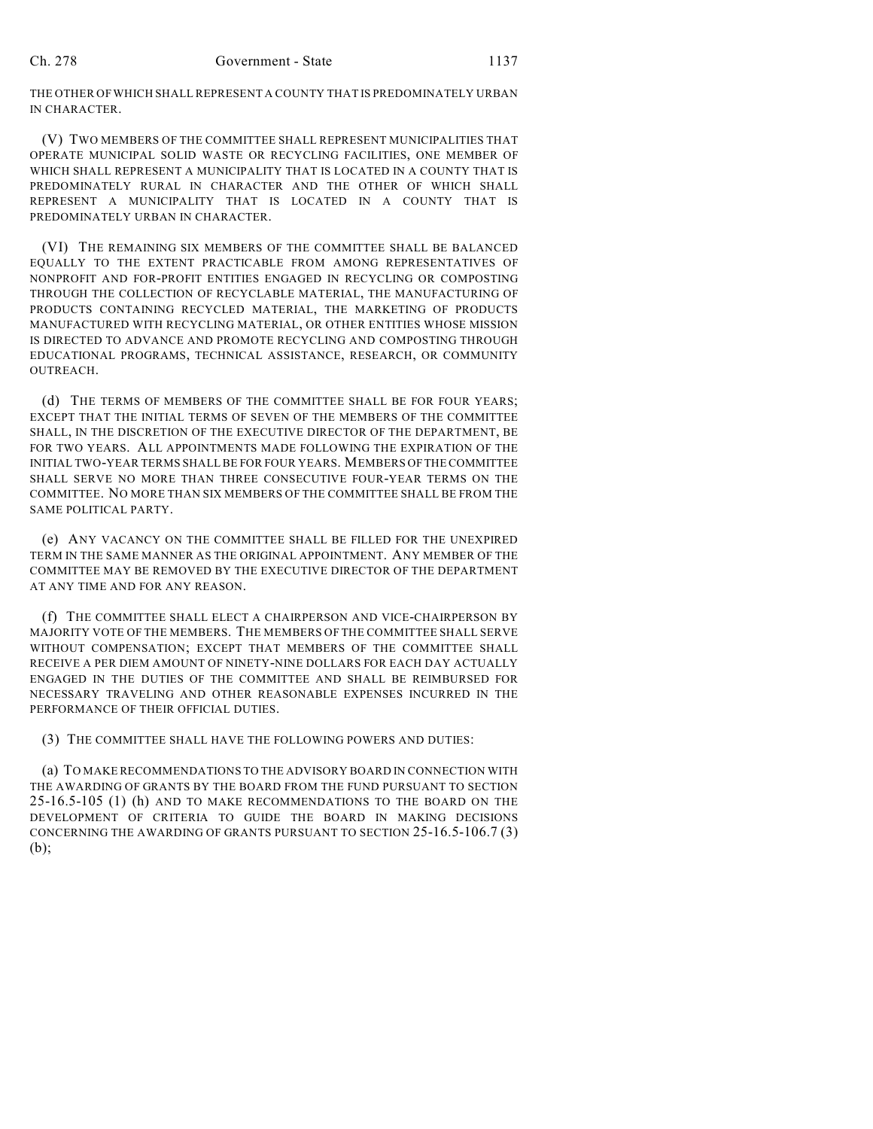THE OTHER OF WHICH SHALL REPRESENT A COUNTY THAT IS PREDOMINATELY URBAN IN CHARACTER.

(V) TWO MEMBERS OF THE COMMITTEE SHALL REPRESENT MUNICIPALITIES THAT OPERATE MUNICIPAL SOLID WASTE OR RECYCLING FACILITIES, ONE MEMBER OF WHICH SHALL REPRESENT A MUNICIPALITY THAT IS LOCATED IN A COUNTY THAT IS PREDOMINATELY RURAL IN CHARACTER AND THE OTHER OF WHICH SHALL REPRESENT A MUNICIPALITY THAT IS LOCATED IN A COUNTY THAT IS PREDOMINATELY URBAN IN CHARACTER.

(VI) THE REMAINING SIX MEMBERS OF THE COMMITTEE SHALL BE BALANCED EQUALLY TO THE EXTENT PRACTICABLE FROM AMONG REPRESENTATIVES OF NONPROFIT AND FOR-PROFIT ENTITIES ENGAGED IN RECYCLING OR COMPOSTING THROUGH THE COLLECTION OF RECYCLABLE MATERIAL, THE MANUFACTURING OF PRODUCTS CONTAINING RECYCLED MATERIAL, THE MARKETING OF PRODUCTS MANUFACTURED WITH RECYCLING MATERIAL, OR OTHER ENTITIES WHOSE MISSION IS DIRECTED TO ADVANCE AND PROMOTE RECYCLING AND COMPOSTING THROUGH EDUCATIONAL PROGRAMS, TECHNICAL ASSISTANCE, RESEARCH, OR COMMUNITY OUTREACH.

(d) THE TERMS OF MEMBERS OF THE COMMITTEE SHALL BE FOR FOUR YEARS; EXCEPT THAT THE INITIAL TERMS OF SEVEN OF THE MEMBERS OF THE COMMITTEE SHALL, IN THE DISCRETION OF THE EXECUTIVE DIRECTOR OF THE DEPARTMENT, BE FOR TWO YEARS. ALL APPOINTMENTS MADE FOLLOWING THE EXPIRATION OF THE INITIAL TWO-YEAR TERMS SHALL BE FOR FOUR YEARS. MEMBERS OF THE COMMITTEE SHALL SERVE NO MORE THAN THREE CONSECUTIVE FOUR-YEAR TERMS ON THE COMMITTEE. NO MORE THAN SIX MEMBERS OF THE COMMITTEE SHALL BE FROM THE SAME POLITICAL PARTY.

(e) ANY VACANCY ON THE COMMITTEE SHALL BE FILLED FOR THE UNEXPIRED TERM IN THE SAME MANNER AS THE ORIGINAL APPOINTMENT. ANY MEMBER OF THE COMMITTEE MAY BE REMOVED BY THE EXECUTIVE DIRECTOR OF THE DEPARTMENT AT ANY TIME AND FOR ANY REASON.

(f) THE COMMITTEE SHALL ELECT A CHAIRPERSON AND VICE-CHAIRPERSON BY MAJORITY VOTE OF THE MEMBERS. THE MEMBERS OF THE COMMITTEE SHALL SERVE WITHOUT COMPENSATION; EXCEPT THAT MEMBERS OF THE COMMITTEE SHALL RECEIVE A PER DIEM AMOUNT OF NINETY-NINE DOLLARS FOR EACH DAY ACTUALLY ENGAGED IN THE DUTIES OF THE COMMITTEE AND SHALL BE REIMBURSED FOR NECESSARY TRAVELING AND OTHER REASONABLE EXPENSES INCURRED IN THE PERFORMANCE OF THEIR OFFICIAL DUTIES.

(3) THE COMMITTEE SHALL HAVE THE FOLLOWING POWERS AND DUTIES:

(a) TO MAKE RECOMMENDATIONS TO THE ADVISORY BOARD IN CONNECTION WITH THE AWARDING OF GRANTS BY THE BOARD FROM THE FUND PURSUANT TO SECTION 25-16.5-105 (1) (h) AND TO MAKE RECOMMENDATIONS TO THE BOARD ON THE DEVELOPMENT OF CRITERIA TO GUIDE THE BOARD IN MAKING DECISIONS CONCERNING THE AWARDING OF GRANTS PURSUANT TO SECTION 25-16.5-106.7 (3) (b);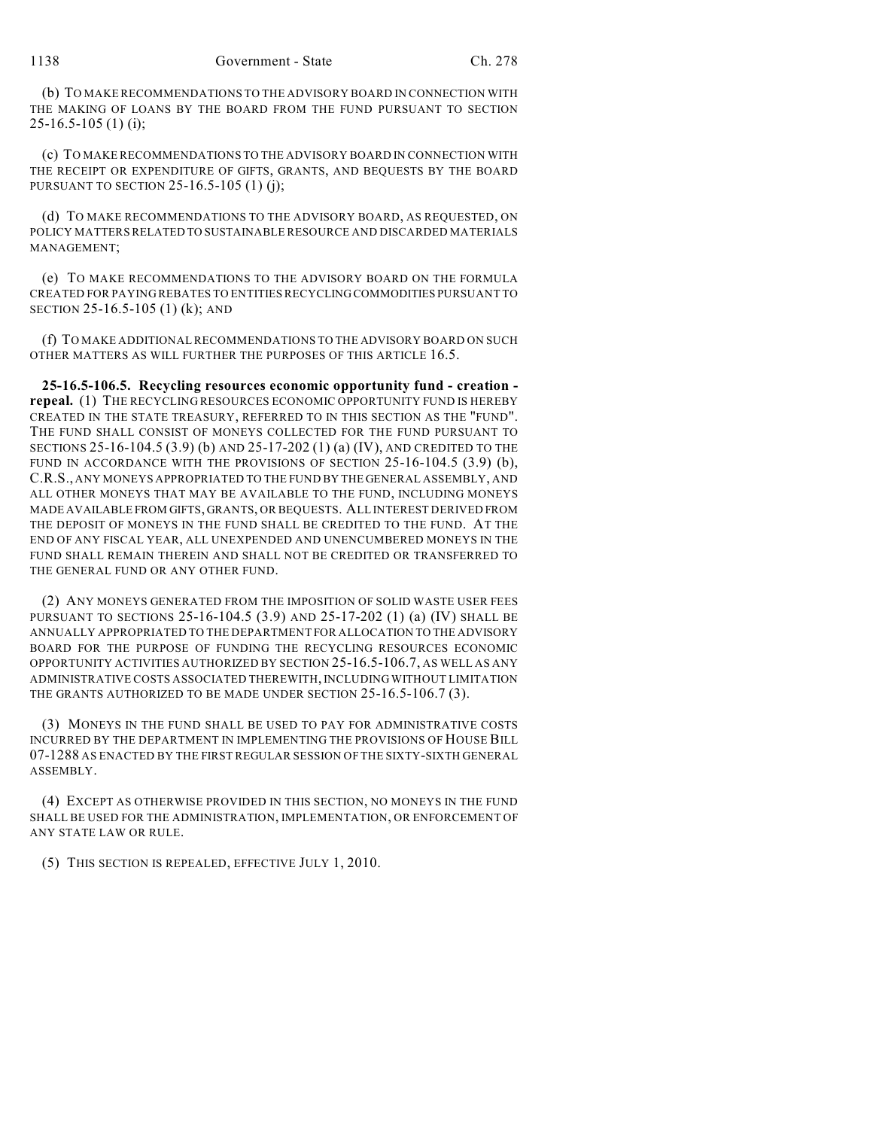(b) TO MAKE RECOMMENDATIONS TO THE ADVISORY BOARD IN CONNECTION WITH THE MAKING OF LOANS BY THE BOARD FROM THE FUND PURSUANT TO SECTION  $25-16.5-105(1)$  (i);

(c) TO MAKE RECOMMENDATIONS TO THE ADVISORY BOARD IN CONNECTION WITH THE RECEIPT OR EXPENDITURE OF GIFTS, GRANTS, AND BEQUESTS BY THE BOARD PURSUANT TO SECTION 25-16.5-105 (1) (j);

(d) TO MAKE RECOMMENDATIONS TO THE ADVISORY BOARD, AS REQUESTED, ON POLICY MATTERS RELATED TO SUSTAINABLE RESOURCE AND DISCARDED MATERIALS MANAGEMENT;

(e) TO MAKE RECOMMENDATIONS TO THE ADVISORY BOARD ON THE FORMULA CREATED FOR PAYING REBATES TO ENTITIES RECYCLING COMMODITIES PURSUANT TO SECTION 25-16.5-105 (1) (k); AND

(f) TO MAKE ADDITIONAL RECOMMENDATIONS TO THE ADVISORY BOARD ON SUCH OTHER MATTERS AS WILL FURTHER THE PURPOSES OF THIS ARTICLE 16.5.

**25-16.5-106.5. Recycling resources economic opportunity fund - creation repeal.** (1) THE RECYCLING RESOURCES ECONOMIC OPPORTUNITY FUND IS HEREBY CREATED IN THE STATE TREASURY, REFERRED TO IN THIS SECTION AS THE "FUND". THE FUND SHALL CONSIST OF MONEYS COLLECTED FOR THE FUND PURSUANT TO SECTIONS 25-16-104.5 (3.9) (b) AND 25-17-202 (1) (a) (IV), AND CREDITED TO THE FUND IN ACCORDANCE WITH THE PROVISIONS OF SECTION 25-16-104.5 (3.9) (b), C.R.S., ANY MONEYS APPROPRIATED TO THE FUND BY THE GENERAL ASSEMBLY, AND ALL OTHER MONEYS THAT MAY BE AVAILABLE TO THE FUND, INCLUDING MONEYS MADE AVAILABLE FROM GIFTS, GRANTS, OR BEQUESTS. ALL INTEREST DERIVED FROM THE DEPOSIT OF MONEYS IN THE FUND SHALL BE CREDITED TO THE FUND. AT THE END OF ANY FISCAL YEAR, ALL UNEXPENDED AND UNENCUMBERED MONEYS IN THE FUND SHALL REMAIN THEREIN AND SHALL NOT BE CREDITED OR TRANSFERRED TO THE GENERAL FUND OR ANY OTHER FUND.

(2) ANY MONEYS GENERATED FROM THE IMPOSITION OF SOLID WASTE USER FEES PURSUANT TO SECTIONS 25-16-104.5 (3.9) AND 25-17-202 (1) (a) (IV) SHALL BE ANNUALLY APPROPRIATED TO THE DEPARTMENT FOR ALLOCATION TO THE ADVISORY BOARD FOR THE PURPOSE OF FUNDING THE RECYCLING RESOURCES ECONOMIC OPPORTUNITY ACTIVITIES AUTHORIZED BY SECTION 25-16.5-106.7, AS WELL AS ANY ADMINISTRATIVE COSTS ASSOCIATED THEREWITH, INCLUDINGWITHOUT LIMITATION THE GRANTS AUTHORIZED TO BE MADE UNDER SECTION 25-16.5-106.7 (3).

(3) MONEYS IN THE FUND SHALL BE USED TO PAY FOR ADMINISTRATIVE COSTS INCURRED BY THE DEPARTMENT IN IMPLEMENTING THE PROVISIONS OF HOUSE BILL 07-1288 AS ENACTED BY THE FIRST REGULAR SESSION OF THE SIXTY-SIXTH GENERAL ASSEMBLY.

(4) EXCEPT AS OTHERWISE PROVIDED IN THIS SECTION, NO MONEYS IN THE FUND SHALL BE USED FOR THE ADMINISTRATION, IMPLEMENTATION, OR ENFORCEMENT OF ANY STATE LAW OR RULE.

(5) THIS SECTION IS REPEALED, EFFECTIVE JULY 1, 2010.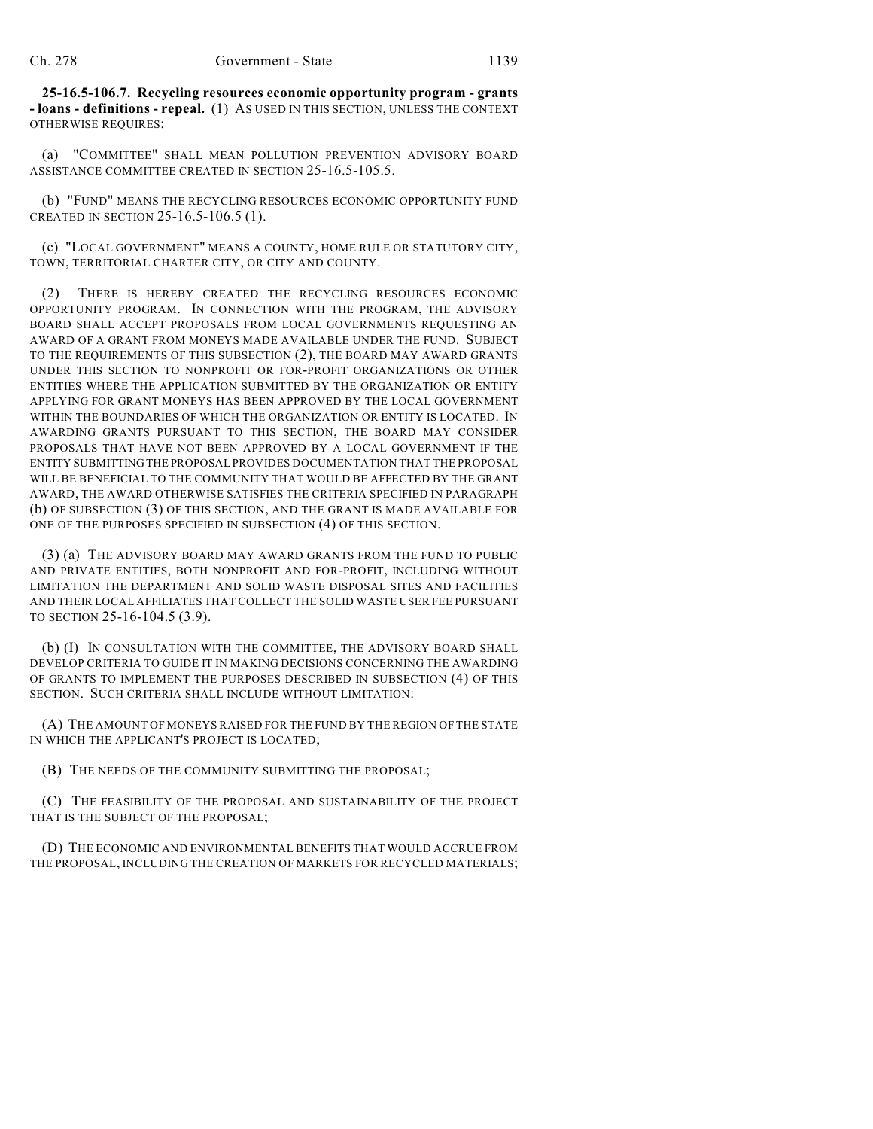**25-16.5-106.7. Recycling resources economic opportunity program - grants - loans - definitions - repeal.** (1) AS USED IN THIS SECTION, UNLESS THE CONTEXT OTHERWISE REQUIRES:

(a) "COMMITTEE" SHALL MEAN POLLUTION PREVENTION ADVISORY BOARD ASSISTANCE COMMITTEE CREATED IN SECTION 25-16.5-105.5.

(b) "FUND" MEANS THE RECYCLING RESOURCES ECONOMIC OPPORTUNITY FUND CREATED IN SECTION 25-16.5-106.5 (1).

(c) "LOCAL GOVERNMENT" MEANS A COUNTY, HOME RULE OR STATUTORY CITY, TOWN, TERRITORIAL CHARTER CITY, OR CITY AND COUNTY.

(2) THERE IS HEREBY CREATED THE RECYCLING RESOURCES ECONOMIC OPPORTUNITY PROGRAM. IN CONNECTION WITH THE PROGRAM, THE ADVISORY BOARD SHALL ACCEPT PROPOSALS FROM LOCAL GOVERNMENTS REQUESTING AN AWARD OF A GRANT FROM MONEYS MADE AVAILABLE UNDER THE FUND. SUBJECT TO THE REQUIREMENTS OF THIS SUBSECTION (2), THE BOARD MAY AWARD GRANTS UNDER THIS SECTION TO NONPROFIT OR FOR-PROFIT ORGANIZATIONS OR OTHER ENTITIES WHERE THE APPLICATION SUBMITTED BY THE ORGANIZATION OR ENTITY APPLYING FOR GRANT MONEYS HAS BEEN APPROVED BY THE LOCAL GOVERNMENT WITHIN THE BOUNDARIES OF WHICH THE ORGANIZATION OR ENTITY IS LOCATED. IN AWARDING GRANTS PURSUANT TO THIS SECTION, THE BOARD MAY CONSIDER PROPOSALS THAT HAVE NOT BEEN APPROVED BY A LOCAL GOVERNMENT IF THE ENTITY SUBMITTING THE PROPOSAL PROVIDES DOCUMENTATION THAT THE PROPOSAL WILL BE BENEFICIAL TO THE COMMUNITY THAT WOULD BE AFFECTED BY THE GRANT AWARD, THE AWARD OTHERWISE SATISFIES THE CRITERIA SPECIFIED IN PARAGRAPH (b) OF SUBSECTION (3) OF THIS SECTION, AND THE GRANT IS MADE AVAILABLE FOR ONE OF THE PURPOSES SPECIFIED IN SUBSECTION (4) OF THIS SECTION.

(3) (a) THE ADVISORY BOARD MAY AWARD GRANTS FROM THE FUND TO PUBLIC AND PRIVATE ENTITIES, BOTH NONPROFIT AND FOR-PROFIT, INCLUDING WITHOUT LIMITATION THE DEPARTMENT AND SOLID WASTE DISPOSAL SITES AND FACILITIES AND THEIR LOCAL AFFILIATES THAT COLLECT THE SOLID WASTE USER FEE PURSUANT TO SECTION 25-16-104.5 (3.9).

(b) (I) IN CONSULTATION WITH THE COMMITTEE, THE ADVISORY BOARD SHALL DEVELOP CRITERIA TO GUIDE IT IN MAKING DECISIONS CONCERNING THE AWARDING OF GRANTS TO IMPLEMENT THE PURPOSES DESCRIBED IN SUBSECTION (4) OF THIS SECTION. SUCH CRITERIA SHALL INCLUDE WITHOUT LIMITATION:

(A) THE AMOUNT OF MONEYS RAISED FOR THE FUND BY THE REGION OF THE STATE IN WHICH THE APPLICANT'S PROJECT IS LOCATED;

(B) THE NEEDS OF THE COMMUNITY SUBMITTING THE PROPOSAL;

(C) THE FEASIBILITY OF THE PROPOSAL AND SUSTAINABILITY OF THE PROJECT THAT IS THE SUBJECT OF THE PROPOSAL;

(D) THE ECONOMIC AND ENVIRONMENTAL BENEFITS THAT WOULD ACCRUE FROM THE PROPOSAL, INCLUDING THE CREATION OF MARKETS FOR RECYCLED MATERIALS;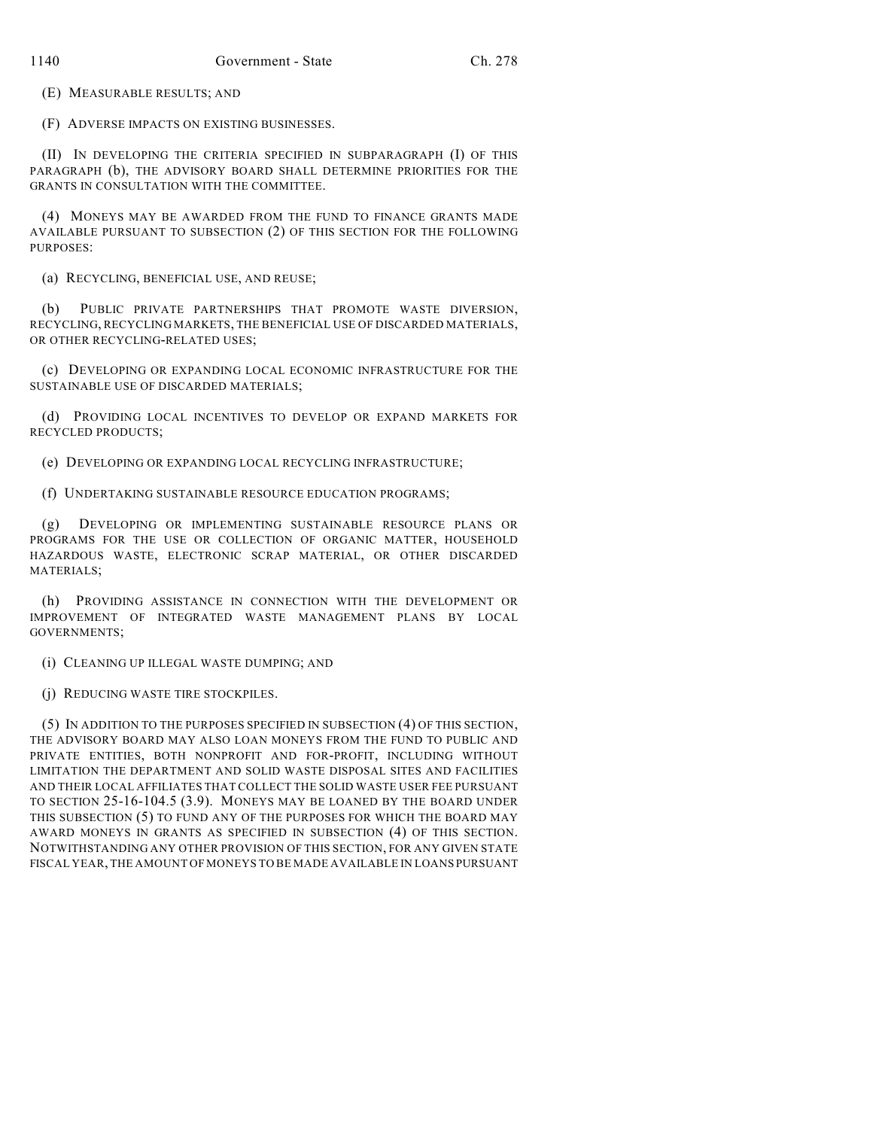(E) MEASURABLE RESULTS; AND

(F) ADVERSE IMPACTS ON EXISTING BUSINESSES.

(II) IN DEVELOPING THE CRITERIA SPECIFIED IN SUBPARAGRAPH (I) OF THIS PARAGRAPH (b), THE ADVISORY BOARD SHALL DETERMINE PRIORITIES FOR THE GRANTS IN CONSULTATION WITH THE COMMITTEE.

(4) MONEYS MAY BE AWARDED FROM THE FUND TO FINANCE GRANTS MADE AVAILABLE PURSUANT TO SUBSECTION (2) OF THIS SECTION FOR THE FOLLOWING PURPOSES:

(a) RECYCLING, BENEFICIAL USE, AND REUSE;

(b) PUBLIC PRIVATE PARTNERSHIPS THAT PROMOTE WASTE DIVERSION, RECYCLING, RECYCLING MARKETS, THE BENEFICIAL USE OF DISCARDED MATERIALS, OR OTHER RECYCLING-RELATED USES;

(c) DEVELOPING OR EXPANDING LOCAL ECONOMIC INFRASTRUCTURE FOR THE SUSTAINABLE USE OF DISCARDED MATERIALS;

(d) PROVIDING LOCAL INCENTIVES TO DEVELOP OR EXPAND MARKETS FOR RECYCLED PRODUCTS;

(e) DEVELOPING OR EXPANDING LOCAL RECYCLING INFRASTRUCTURE;

(f) UNDERTAKING SUSTAINABLE RESOURCE EDUCATION PROGRAMS;

(g) DEVELOPING OR IMPLEMENTING SUSTAINABLE RESOURCE PLANS OR PROGRAMS FOR THE USE OR COLLECTION OF ORGANIC MATTER, HOUSEHOLD HAZARDOUS WASTE, ELECTRONIC SCRAP MATERIAL, OR OTHER DISCARDED MATERIALS;

(h) PROVIDING ASSISTANCE IN CONNECTION WITH THE DEVELOPMENT OR IMPROVEMENT OF INTEGRATED WASTE MANAGEMENT PLANS BY LOCAL GOVERNMENTS;

(i) CLEANING UP ILLEGAL WASTE DUMPING; AND

(j) REDUCING WASTE TIRE STOCKPILES.

(5) IN ADDITION TO THE PURPOSES SPECIFIED IN SUBSECTION (4) OF THIS SECTION, THE ADVISORY BOARD MAY ALSO LOAN MONEYS FROM THE FUND TO PUBLIC AND PRIVATE ENTITIES, BOTH NONPROFIT AND FOR-PROFIT, INCLUDING WITHOUT LIMITATION THE DEPARTMENT AND SOLID WASTE DISPOSAL SITES AND FACILITIES AND THEIR LOCAL AFFILIATES THAT COLLECT THE SOLID WASTE USER FEE PURSUANT TO SECTION 25-16-104.5 (3.9). MONEYS MAY BE LOANED BY THE BOARD UNDER THIS SUBSECTION (5) TO FUND ANY OF THE PURPOSES FOR WHICH THE BOARD MAY AWARD MONEYS IN GRANTS AS SPECIFIED IN SUBSECTION (4) OF THIS SECTION. NOTWITHSTANDING ANY OTHER PROVISION OF THIS SECTION, FOR ANY GIVEN STATE FISCAL YEAR, THE AMOUNT OF MONEYS TO BE MADE AVAILABLE IN LOANS PURSUANT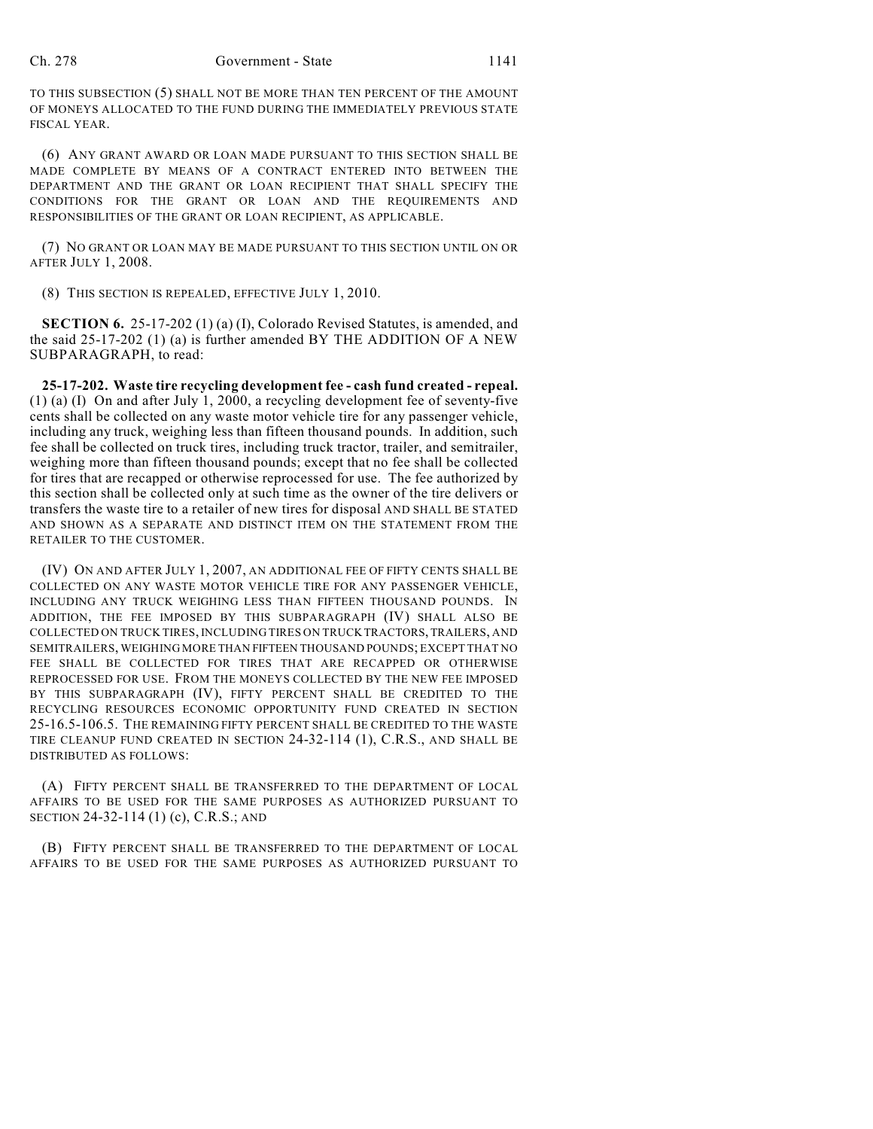TO THIS SUBSECTION (5) SHALL NOT BE MORE THAN TEN PERCENT OF THE AMOUNT OF MONEYS ALLOCATED TO THE FUND DURING THE IMMEDIATELY PREVIOUS STATE FISCAL YEAR.

(6) ANY GRANT AWARD OR LOAN MADE PURSUANT TO THIS SECTION SHALL BE MADE COMPLETE BY MEANS OF A CONTRACT ENTERED INTO BETWEEN THE DEPARTMENT AND THE GRANT OR LOAN RECIPIENT THAT SHALL SPECIFY THE CONDITIONS FOR THE GRANT OR LOAN AND THE REQUIREMENTS AND RESPONSIBILITIES OF THE GRANT OR LOAN RECIPIENT, AS APPLICABLE.

(7) NO GRANT OR LOAN MAY BE MADE PURSUANT TO THIS SECTION UNTIL ON OR AFTER JULY 1, 2008.

(8) THIS SECTION IS REPEALED, EFFECTIVE JULY 1, 2010.

**SECTION 6.** 25-17-202 (1) (a) (I), Colorado Revised Statutes, is amended, and the said 25-17-202 (1) (a) is further amended BY THE ADDITION OF A NEW SUBPARAGRAPH, to read:

**25-17-202. Waste tire recycling development fee - cash fund created - repeal.** (1) (a) (I) On and after July 1, 2000, a recycling development fee of seventy-five cents shall be collected on any waste motor vehicle tire for any passenger vehicle, including any truck, weighing less than fifteen thousand pounds. In addition, such fee shall be collected on truck tires, including truck tractor, trailer, and semitrailer, weighing more than fifteen thousand pounds; except that no fee shall be collected for tires that are recapped or otherwise reprocessed for use. The fee authorized by this section shall be collected only at such time as the owner of the tire delivers or transfers the waste tire to a retailer of new tires for disposal AND SHALL BE STATED AND SHOWN AS A SEPARATE AND DISTINCT ITEM ON THE STATEMENT FROM THE RETAILER TO THE CUSTOMER.

(IV) ON AND AFTER JULY 1, 2007, AN ADDITIONAL FEE OF FIFTY CENTS SHALL BE COLLECTED ON ANY WASTE MOTOR VEHICLE TIRE FOR ANY PASSENGER VEHICLE, INCLUDING ANY TRUCK WEIGHING LESS THAN FIFTEEN THOUSAND POUNDS. IN ADDITION, THE FEE IMPOSED BY THIS SUBPARAGRAPH (IV) SHALL ALSO BE COLLECTED ON TRUCK TIRES, INCLUDING TIRES ON TRUCK TRACTORS, TRAILERS, AND SEMITRAILERS, WEIGHING MORE THAN FIFTEEN THOUSAND POUNDS; EXCEPT THAT NO FEE SHALL BE COLLECTED FOR TIRES THAT ARE RECAPPED OR OTHERWISE REPROCESSED FOR USE. FROM THE MONEYS COLLECTED BY THE NEW FEE IMPOSED BY THIS SUBPARAGRAPH (IV), FIFTY PERCENT SHALL BE CREDITED TO THE RECYCLING RESOURCES ECONOMIC OPPORTUNITY FUND CREATED IN SECTION 25-16.5-106.5. THE REMAINING FIFTY PERCENT SHALL BE CREDITED TO THE WASTE TIRE CLEANUP FUND CREATED IN SECTION 24-32-114 (1), C.R.S., AND SHALL BE DISTRIBUTED AS FOLLOWS:

(A) FIFTY PERCENT SHALL BE TRANSFERRED TO THE DEPARTMENT OF LOCAL AFFAIRS TO BE USED FOR THE SAME PURPOSES AS AUTHORIZED PURSUANT TO SECTION 24-32-114 (1) (c), C.R.S.; AND

(B) FIFTY PERCENT SHALL BE TRANSFERRED TO THE DEPARTMENT OF LOCAL AFFAIRS TO BE USED FOR THE SAME PURPOSES AS AUTHORIZED PURSUANT TO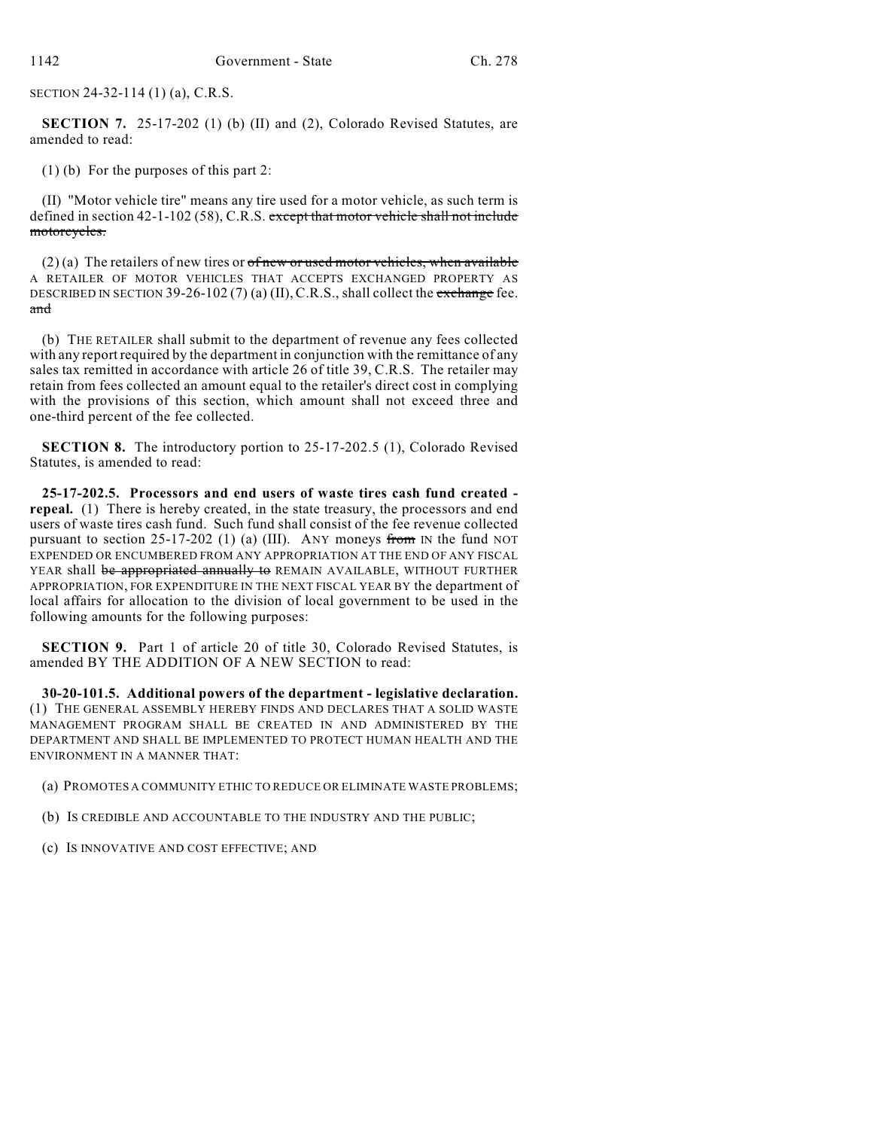SECTION 24-32-114 (1) (a), C.R.S.

**SECTION 7.** 25-17-202 (1) (b) (II) and (2), Colorado Revised Statutes, are amended to read:

(1) (b) For the purposes of this part 2:

(II) "Motor vehicle tire" means any tire used for a motor vehicle, as such term is defined in section 42-1-102 (58), C.R.S. except that motor vehicle shall not include motorcycles.

 $(2)$  (a) The retailers of new tires or of new or used motor vehicles, when available A RETAILER OF MOTOR VEHICLES THAT ACCEPTS EXCHANGED PROPERTY AS DESCRIBED IN SECTION 39-26-102 (7) (a) (II), C.R.S., shall collect the exchange fee. and

(b) THE RETAILER shall submit to the department of revenue any fees collected with any report required by the department in conjunction with the remittance of any sales tax remitted in accordance with article 26 of title 39, C.R.S. The retailer may retain from fees collected an amount equal to the retailer's direct cost in complying with the provisions of this section, which amount shall not exceed three and one-third percent of the fee collected.

**SECTION 8.** The introductory portion to 25-17-202.5 (1), Colorado Revised Statutes, is amended to read:

**25-17-202.5. Processors and end users of waste tires cash fund created repeal.** (1) There is hereby created, in the state treasury, the processors and end users of waste tires cash fund. Such fund shall consist of the fee revenue collected pursuant to section 25-17-202 (1) (a) (III). ANY moneys from IN the fund NOT EXPENDED OR ENCUMBERED FROM ANY APPROPRIATION AT THE END OF ANY FISCAL YEAR shall be appropriated annually to REMAIN AVAILABLE, WITHOUT FURTHER APPROPRIATION, FOR EXPENDITURE IN THE NEXT FISCAL YEAR BY the department of local affairs for allocation to the division of local government to be used in the following amounts for the following purposes:

**SECTION 9.** Part 1 of article 20 of title 30, Colorado Revised Statutes, is amended BY THE ADDITION OF A NEW SECTION to read:

**30-20-101.5. Additional powers of the department - legislative declaration.** (1) THE GENERAL ASSEMBLY HEREBY FINDS AND DECLARES THAT A SOLID WASTE MANAGEMENT PROGRAM SHALL BE CREATED IN AND ADMINISTERED BY THE DEPARTMENT AND SHALL BE IMPLEMENTED TO PROTECT HUMAN HEALTH AND THE ENVIRONMENT IN A MANNER THAT:

- (a) PROMOTES A COMMUNITY ETHIC TO REDUCE OR ELIMINATE WASTE PROBLEMS;
- (b) IS CREDIBLE AND ACCOUNTABLE TO THE INDUSTRY AND THE PUBLIC;
- (c) IS INNOVATIVE AND COST EFFECTIVE; AND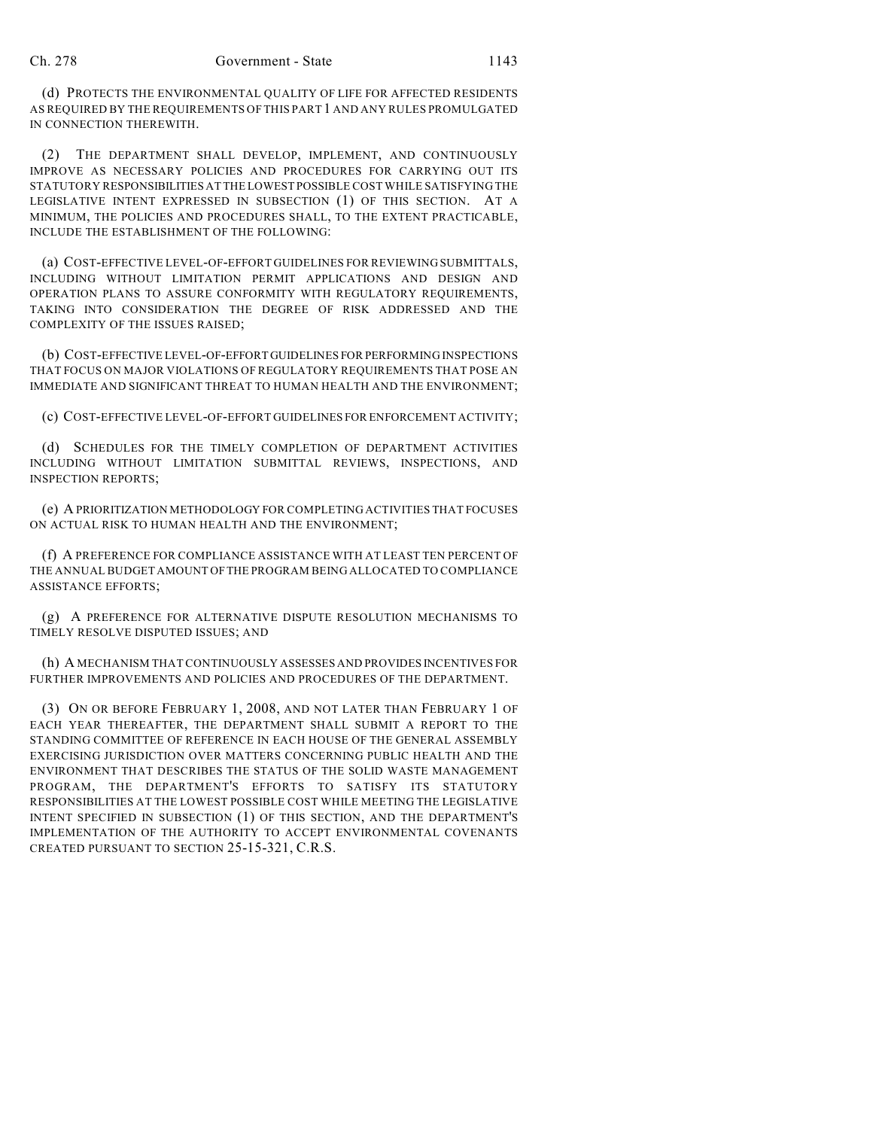(d) PROTECTS THE ENVIRONMENTAL QUALITY OF LIFE FOR AFFECTED RESIDENTS AS REQUIRED BY THE REQUIREMENTS OF THIS PART 1 AND ANY RULES PROMULGATED IN CONNECTION THEREWITH.

(2) THE DEPARTMENT SHALL DEVELOP, IMPLEMENT, AND CONTINUOUSLY IMPROVE AS NECESSARY POLICIES AND PROCEDURES FOR CARRYING OUT ITS STATUTORY RESPONSIBILITIES AT THE LOWEST POSSIBLE COST WHILE SATISFYING THE LEGISLATIVE INTENT EXPRESSED IN SUBSECTION (1) OF THIS SECTION. AT A MINIMUM, THE POLICIES AND PROCEDURES SHALL, TO THE EXTENT PRACTICABLE, INCLUDE THE ESTABLISHMENT OF THE FOLLOWING:

(a) COST-EFFECTIVE LEVEL-OF-EFFORT GUIDELINES FOR REVIEWING SUBMITTALS, INCLUDING WITHOUT LIMITATION PERMIT APPLICATIONS AND DESIGN AND OPERATION PLANS TO ASSURE CONFORMITY WITH REGULATORY REQUIREMENTS, TAKING INTO CONSIDERATION THE DEGREE OF RISK ADDRESSED AND THE COMPLEXITY OF THE ISSUES RAISED;

(b) COST-EFFECTIVE LEVEL-OF-EFFORT GUIDELINES FOR PERFORMING INSPECTIONS THAT FOCUS ON MAJOR VIOLATIONS OF REGULATORY REQUIREMENTS THAT POSE AN IMMEDIATE AND SIGNIFICANT THREAT TO HUMAN HEALTH AND THE ENVIRONMENT;

(c) COST-EFFECTIVE LEVEL-OF-EFFORT GUIDELINES FOR ENFORCEMENT ACTIVITY;

(d) SCHEDULES FOR THE TIMELY COMPLETION OF DEPARTMENT ACTIVITIES INCLUDING WITHOUT LIMITATION SUBMITTAL REVIEWS, INSPECTIONS, AND INSPECTION REPORTS;

(e) A PRIORITIZATION METHODOLOGY FOR COMPLETING ACTIVITIES THAT FOCUSES ON ACTUAL RISK TO HUMAN HEALTH AND THE ENVIRONMENT;

(f) A PREFERENCE FOR COMPLIANCE ASSISTANCE WITH AT LEAST TEN PERCENT OF THE ANNUAL BUDGET AMOUNT OF THE PROGRAM BEING ALLOCATED TO COMPLIANCE ASSISTANCE EFFORTS;

(g) A PREFERENCE FOR ALTERNATIVE DISPUTE RESOLUTION MECHANISMS TO TIMELY RESOLVE DISPUTED ISSUES; AND

(h) A MECHANISM THAT CONTINUOUSLY ASSESSES AND PROVIDES INCENTIVES FOR FURTHER IMPROVEMENTS AND POLICIES AND PROCEDURES OF THE DEPARTMENT.

(3) ON OR BEFORE FEBRUARY 1, 2008, AND NOT LATER THAN FEBRUARY 1 OF EACH YEAR THEREAFTER, THE DEPARTMENT SHALL SUBMIT A REPORT TO THE STANDING COMMITTEE OF REFERENCE IN EACH HOUSE OF THE GENERAL ASSEMBLY EXERCISING JURISDICTION OVER MATTERS CONCERNING PUBLIC HEALTH AND THE ENVIRONMENT THAT DESCRIBES THE STATUS OF THE SOLID WASTE MANAGEMENT PROGRAM, THE DEPARTMENT'S EFFORTS TO SATISFY ITS STATUTORY RESPONSIBILITIES AT THE LOWEST POSSIBLE COST WHILE MEETING THE LEGISLATIVE INTENT SPECIFIED IN SUBSECTION (1) OF THIS SECTION, AND THE DEPARTMENT'S IMPLEMENTATION OF THE AUTHORITY TO ACCEPT ENVIRONMENTAL COVENANTS CREATED PURSUANT TO SECTION 25-15-321, C.R.S.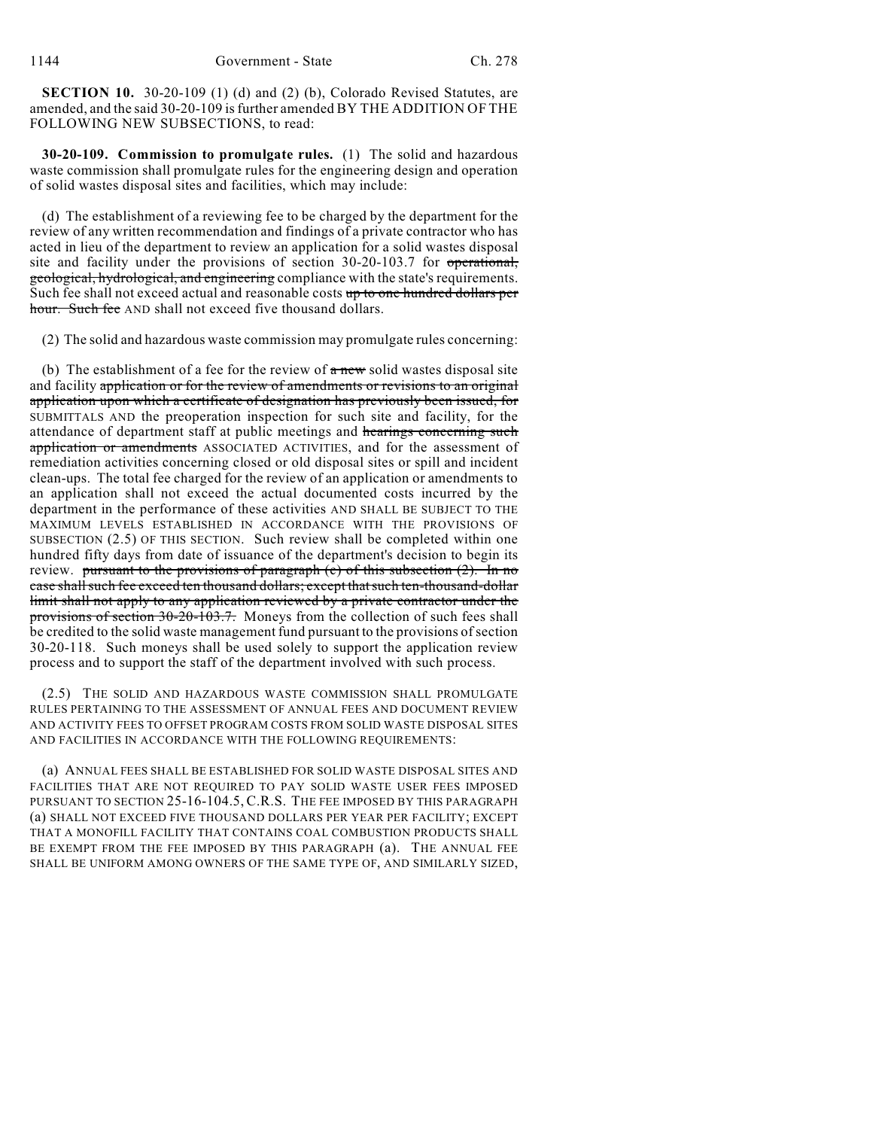**SECTION 10.** 30-20-109 (1) (d) and (2) (b), Colorado Revised Statutes, are amended, and the said 30-20-109 is further amended BY THE ADDITION OF THE FOLLOWING NEW SUBSECTIONS, to read:

**30-20-109. Commission to promulgate rules.** (1) The solid and hazardous waste commission shall promulgate rules for the engineering design and operation of solid wastes disposal sites and facilities, which may include:

(d) The establishment of a reviewing fee to be charged by the department for the review of any written recommendation and findings of a private contractor who has acted in lieu of the department to review an application for a solid wastes disposal site and facility under the provisions of section 30-20-103.7 for operational, geological, hydrological, and engineering compliance with the state's requirements. Such fee shall not exceed actual and reasonable costs up to one hundred dollars per hour. Such fee AND shall not exceed five thousand dollars.

(2) The solid and hazardous waste commission may promulgate rules concerning:

(b) The establishment of a fee for the review of  $\alpha$  new solid wastes disposal site and facility application or for the review of amendments or revisions to an original application upon which a certificate of designation has previously been issued, for SUBMITTALS AND the preoperation inspection for such site and facility, for the attendance of department staff at public meetings and hearings concerning such application or amendments ASSOCIATED ACTIVITIES, and for the assessment of remediation activities concerning closed or old disposal sites or spill and incident clean-ups. The total fee charged for the review of an application or amendments to an application shall not exceed the actual documented costs incurred by the department in the performance of these activities AND SHALL BE SUBJECT TO THE MAXIMUM LEVELS ESTABLISHED IN ACCORDANCE WITH THE PROVISIONS OF SUBSECTION (2.5) OF THIS SECTION. Such review shall be completed within one hundred fifty days from date of issuance of the department's decision to begin its review. pursuant to the provisions of paragraph  $(c)$  of this subsection  $(2)$ . In no case shall such fee exceed ten thousand dollars; except that such ten-thousand-dollar limit shall not apply to any application reviewed by a private contractor under the provisions of section 30-20-103.7. Moneys from the collection of such fees shall be credited to the solid waste management fund pursuant to the provisions of section 30-20-118. Such moneys shall be used solely to support the application review process and to support the staff of the department involved with such process.

(2.5) THE SOLID AND HAZARDOUS WASTE COMMISSION SHALL PROMULGATE RULES PERTAINING TO THE ASSESSMENT OF ANNUAL FEES AND DOCUMENT REVIEW AND ACTIVITY FEES TO OFFSET PROGRAM COSTS FROM SOLID WASTE DISPOSAL SITES AND FACILITIES IN ACCORDANCE WITH THE FOLLOWING REQUIREMENTS:

(a) ANNUAL FEES SHALL BE ESTABLISHED FOR SOLID WASTE DISPOSAL SITES AND FACILITIES THAT ARE NOT REQUIRED TO PAY SOLID WASTE USER FEES IMPOSED PURSUANT TO SECTION 25-16-104.5, C.R.S. THE FEE IMPOSED BY THIS PARAGRAPH (a) SHALL NOT EXCEED FIVE THOUSAND DOLLARS PER YEAR PER FACILITY; EXCEPT THAT A MONOFILL FACILITY THAT CONTAINS COAL COMBUSTION PRODUCTS SHALL BE EXEMPT FROM THE FEE IMPOSED BY THIS PARAGRAPH (a). THE ANNUAL FEE SHALL BE UNIFORM AMONG OWNERS OF THE SAME TYPE OF, AND SIMILARLY SIZED,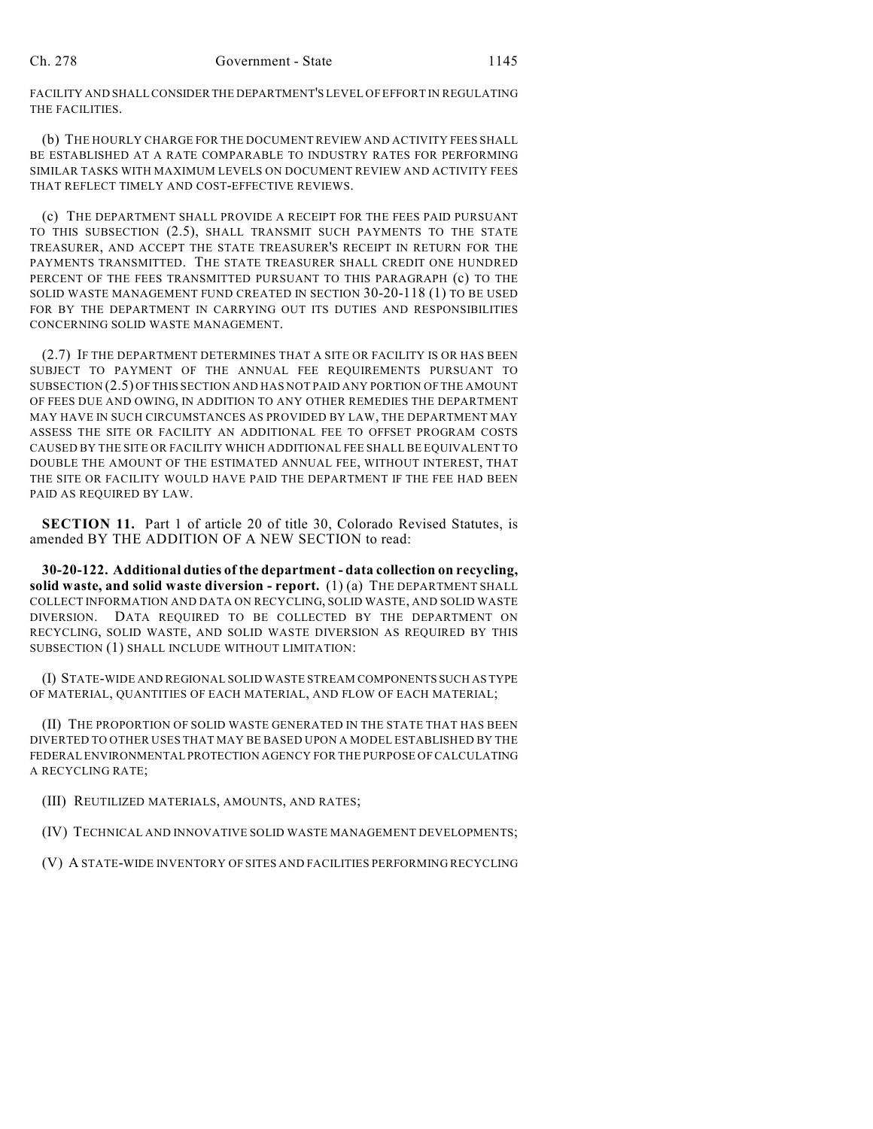FACILITY AND SHALL CONSIDER THE DEPARTMENT'S LEVEL OF EFFORT IN REGULATING THE FACILITIES.

(b) THE HOURLY CHARGE FOR THE DOCUMENT REVIEW AND ACTIVITY FEES SHALL BE ESTABLISHED AT A RATE COMPARABLE TO INDUSTRY RATES FOR PERFORMING SIMILAR TASKS WITH MAXIMUM LEVELS ON DOCUMENT REVIEW AND ACTIVITY FEES THAT REFLECT TIMELY AND COST-EFFECTIVE REVIEWS.

(c) THE DEPARTMENT SHALL PROVIDE A RECEIPT FOR THE FEES PAID PURSUANT TO THIS SUBSECTION (2.5), SHALL TRANSMIT SUCH PAYMENTS TO THE STATE TREASURER, AND ACCEPT THE STATE TREASURER'S RECEIPT IN RETURN FOR THE PAYMENTS TRANSMITTED. THE STATE TREASURER SHALL CREDIT ONE HUNDRED PERCENT OF THE FEES TRANSMITTED PURSUANT TO THIS PARAGRAPH (c) TO THE SOLID WASTE MANAGEMENT FUND CREATED IN SECTION 30-20-118 (1) TO BE USED FOR BY THE DEPARTMENT IN CARRYING OUT ITS DUTIES AND RESPONSIBILITIES CONCERNING SOLID WASTE MANAGEMENT.

(2.7) IF THE DEPARTMENT DETERMINES THAT A SITE OR FACILITY IS OR HAS BEEN SUBJECT TO PAYMENT OF THE ANNUAL FEE REQUIREMENTS PURSUANT TO SUBSECTION (2.5) OF THIS SECTION AND HAS NOT PAID ANY PORTION OF THE AMOUNT OF FEES DUE AND OWING, IN ADDITION TO ANY OTHER REMEDIES THE DEPARTMENT MAY HAVE IN SUCH CIRCUMSTANCES AS PROVIDED BY LAW, THE DEPARTMENT MAY ASSESS THE SITE OR FACILITY AN ADDITIONAL FEE TO OFFSET PROGRAM COSTS CAUSED BY THE SITE OR FACILITY WHICH ADDITIONAL FEE SHALL BE EQUIVALENT TO DOUBLE THE AMOUNT OF THE ESTIMATED ANNUAL FEE, WITHOUT INTEREST, THAT THE SITE OR FACILITY WOULD HAVE PAID THE DEPARTMENT IF THE FEE HAD BEEN PAID AS REQUIRED BY LAW.

**SECTION 11.** Part 1 of article 20 of title 30, Colorado Revised Statutes, is amended BY THE ADDITION OF A NEW SECTION to read:

**30-20-122. Additional duties of the department - data collection on recycling, solid waste, and solid waste diversion - report.** (1) (a) THE DEPARTMENT SHALL COLLECT INFORMATION AND DATA ON RECYCLING, SOLID WASTE, AND SOLID WASTE DIVERSION. DATA REQUIRED TO BE COLLECTED BY THE DEPARTMENT ON RECYCLING, SOLID WASTE, AND SOLID WASTE DIVERSION AS REQUIRED BY THIS SUBSECTION (1) SHALL INCLUDE WITHOUT LIMITATION:

(I) STATE-WIDE AND REGIONAL SOLID WASTE STREAM COMPONENTS SUCH AS TYPE OF MATERIAL, QUANTITIES OF EACH MATERIAL, AND FLOW OF EACH MATERIAL;

(II) THE PROPORTION OF SOLID WASTE GENERATED IN THE STATE THAT HAS BEEN DIVERTED TO OTHER USES THAT MAY BE BASED UPON A MODEL ESTABLISHED BY THE FEDERAL ENVIRONMENTAL PROTECTION AGENCY FOR THE PURPOSE OF CALCULATING A RECYCLING RATE;

(III) REUTILIZED MATERIALS, AMOUNTS, AND RATES;

- (IV) TECHNICAL AND INNOVATIVE SOLID WASTE MANAGEMENT DEVELOPMENTS;
- (V) A STATE-WIDE INVENTORY OF SITES AND FACILITIES PERFORMING RECYCLING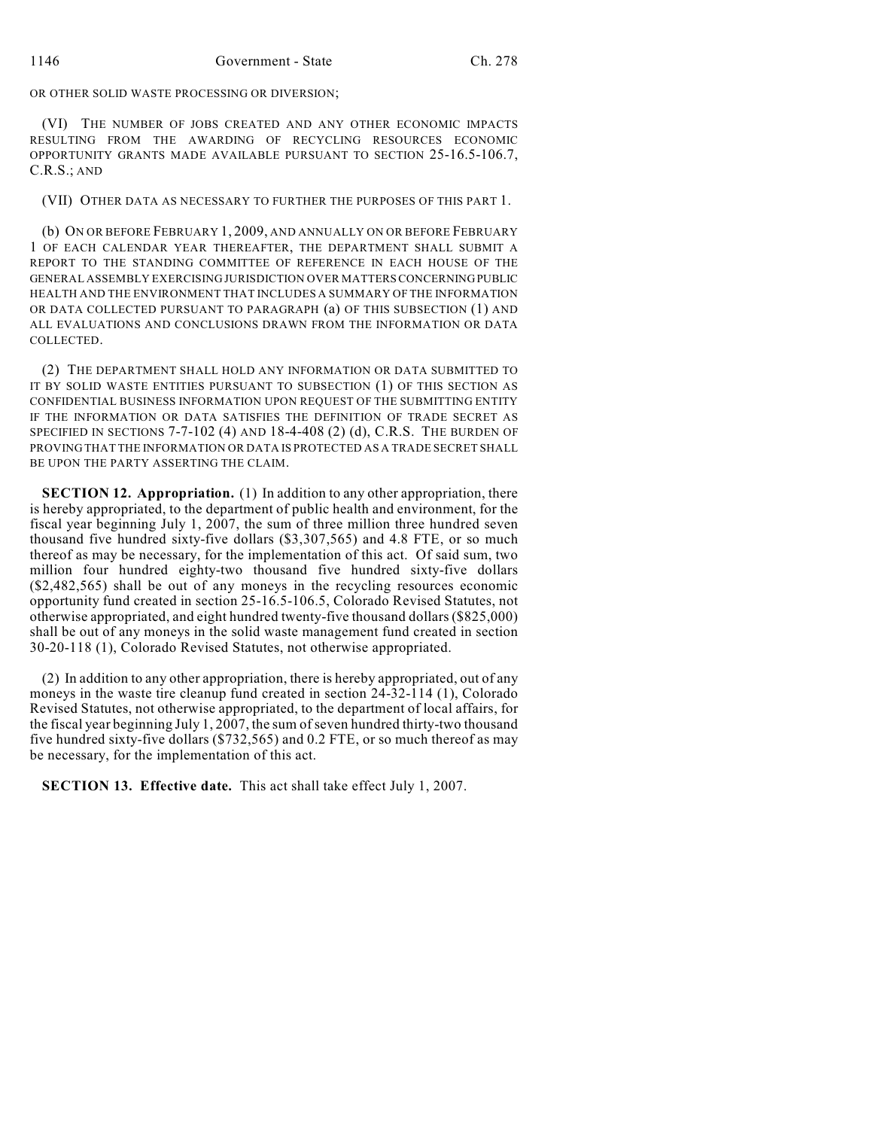OR OTHER SOLID WASTE PROCESSING OR DIVERSION;

(VI) THE NUMBER OF JOBS CREATED AND ANY OTHER ECONOMIC IMPACTS RESULTING FROM THE AWARDING OF RECYCLING RESOURCES ECONOMIC OPPORTUNITY GRANTS MADE AVAILABLE PURSUANT TO SECTION 25-16.5-106.7, C.R.S.; AND

(VII) OTHER DATA AS NECESSARY TO FURTHER THE PURPOSES OF THIS PART 1.

(b) ON OR BEFORE FEBRUARY 1, 2009, AND ANNUALLY ON OR BEFORE FEBRUARY 1 OF EACH CALENDAR YEAR THEREAFTER, THE DEPARTMENT SHALL SUBMIT A REPORT TO THE STANDING COMMITTEE OF REFERENCE IN EACH HOUSE OF THE GENERAL ASSEMBLY EXERCISING JURISDICTION OVER MATTERS CONCERNING PUBLIC HEALTH AND THE ENVIRONMENT THAT INCLUDES A SUMMARY OF THE INFORMATION OR DATA COLLECTED PURSUANT TO PARAGRAPH (a) OF THIS SUBSECTION (1) AND ALL EVALUATIONS AND CONCLUSIONS DRAWN FROM THE INFORMATION OR DATA COLLECTED.

(2) THE DEPARTMENT SHALL HOLD ANY INFORMATION OR DATA SUBMITTED TO IT BY SOLID WASTE ENTITIES PURSUANT TO SUBSECTION (1) OF THIS SECTION AS CONFIDENTIAL BUSINESS INFORMATION UPON REQUEST OF THE SUBMITTING ENTITY IF THE INFORMATION OR DATA SATISFIES THE DEFINITION OF TRADE SECRET AS SPECIFIED IN SECTIONS  $7-7-102$  (4) AND 18-4-408 (2) (d), C.R.S. THE BURDEN OF PROVING THAT THE INFORMATION OR DATA IS PROTECTED AS A TRADE SECRET SHALL BE UPON THE PARTY ASSERTING THE CLAIM.

**SECTION 12. Appropriation.** (1) In addition to any other appropriation, there is hereby appropriated, to the department of public health and environment, for the fiscal year beginning July 1, 2007, the sum of three million three hundred seven thousand five hundred sixty-five dollars (\$3,307,565) and 4.8 FTE, or so much thereof as may be necessary, for the implementation of this act. Of said sum, two million four hundred eighty-two thousand five hundred sixty-five dollars (\$2,482,565) shall be out of any moneys in the recycling resources economic opportunity fund created in section 25-16.5-106.5, Colorado Revised Statutes, not otherwise appropriated, and eight hundred twenty-five thousand dollars (\$825,000) shall be out of any moneys in the solid waste management fund created in section 30-20-118 (1), Colorado Revised Statutes, not otherwise appropriated.

(2) In addition to any other appropriation, there is hereby appropriated, out of any moneys in the waste tire cleanup fund created in section 24-32-114 (1), Colorado Revised Statutes, not otherwise appropriated, to the department of local affairs, for the fiscal year beginning July 1, 2007, the sum of seven hundred thirty-two thousand five hundred sixty-five dollars (\$732,565) and 0.2 FTE, or so much thereof as may be necessary, for the implementation of this act.

**SECTION 13. Effective date.** This act shall take effect July 1, 2007.